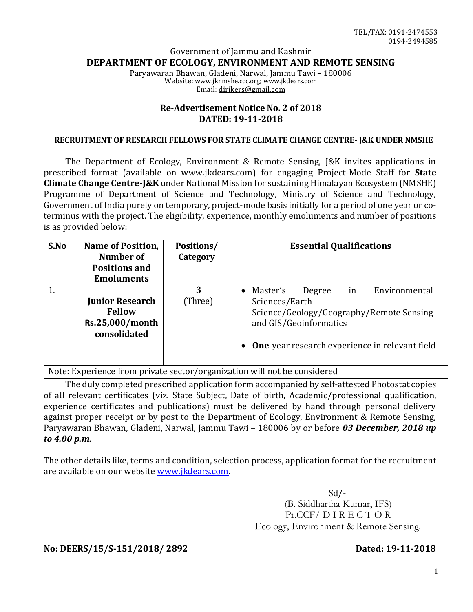## Government of Jammu and Kashmir **DEPARTMENT OF ECOLOGY, ENVIRONMENT AND REMOTE SENSING**

Paryawaran Bhawan, Gladeni, Narwal, Jammu Tawi – 180006 Website: www.jknmshe.ccc.org; www.jkdears.com Email: dirjkers@gmail.com

## **Re-Advertisement Notice No. 2 of 2018 DATED: 19-11-2018**

#### **RECRUITMENT OF RESEARCH FELLOWS FOR STATE CLIMATE CHANGE CENTRE- J&K UNDER NMSHE**

The Department of Ecology, Environment & Remote Sensing, J&K invites applications in prescribed format (available on www.jkdears.com) for engaging Project-Mode Staff for **State Climate Change Centre-J&K** under National Mission for sustaining Himalayan Ecosystem (NMSHE) Programme of Department of Science and Technology, Ministry of Science and Technology, Government of India purely on temporary, project-mode basis initially for a period of one year or coterminus with the project. The eligibility, experience, monthly emoluments and number of positions is as provided below:

| S.No | <b>Name of Position,</b><br>Number of<br><b>Positions and</b><br><b>Emoluments</b> | <b>Positions/</b><br>Category | <b>Essential Qualifications</b>                                                                                                                                                            |  |  |  |  |  |  |  |  |
|------|------------------------------------------------------------------------------------|-------------------------------|--------------------------------------------------------------------------------------------------------------------------------------------------------------------------------------------|--|--|--|--|--|--|--|--|
| 1.   | <b>Junior Research</b><br><b>Fellow</b><br>Rs.25,000/month<br>consolidated         | 3<br>(Three)                  | Master's<br>in<br>Environmental<br>Degree<br>Sciences/Earth<br>Science/Geology/Geography/Remote Sensing<br>and GIS/Geoinformatics<br><b>One-year research experience in relevant field</b> |  |  |  |  |  |  |  |  |
|      | Note: Experience from private sector/organization will not be considered           |                               |                                                                                                                                                                                            |  |  |  |  |  |  |  |  |

m private sector/organization will not be considered

The duly completed prescribed application form accompanied by self-attested Photostat copies of all relevant certificates (viz. State Subject, Date of birth, Academic/professional qualification, experience certificates and publications) must be delivered by hand through personal delivery against proper receipt or by post to the Department of Ecology, Environment & Remote Sensing, Paryawaran Bhawan, Gladeni, Narwal, Jammu Tawi – 180006 by or before *03 December, 2018 up to 4.00 p.m.* 

The other details like, terms and condition, selection process, application format for the recruitment are available on our website www.jkdears.com.

> Sd/- (B. Siddhartha Kumar, IFS) Pr.CCF/ D I R E C T O R Ecology, Environment & Remote Sensing.

**No: DEERS/15/S-151/2018/ 2892 Dated: 19-11-2018**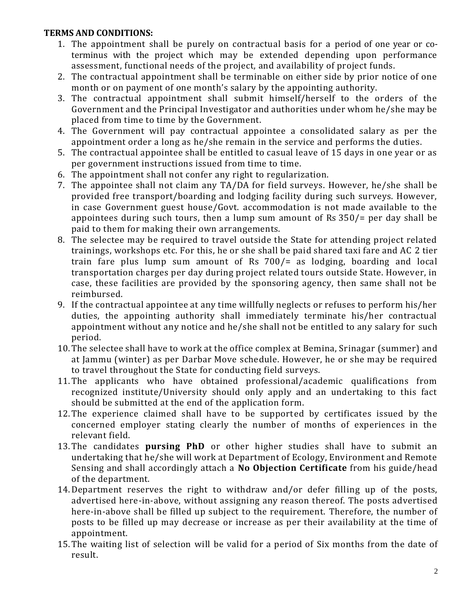## **TERMS AND CONDITIONS:**

- 1. The appointment shall be purely on contractual basis for a period of one year or coterminus with the project which may be extended depending upon performance assessment, functional needs of the project, and availability of project funds.
- 2. The contractual appointment shall be terminable on either side by prior notice of one month or on payment of one month's salary by the appointing authority.
- 3. The contractual appointment shall submit himself/herself to the orders of the Government and the Principal Investigator and authorities under whom he/she may be placed from time to time by the Government.
- 4. The Government will pay contractual appointee a consolidated salary as per the appointment order a long as he/she remain in the service and performs the duties.
- 5. The contractual appointee shall be entitled to casual leave of 15 days in one year or as per government instructions issued from time to time.
- 6. The appointment shall not confer any right to regularization.
- 7. The appointee shall not claim any TA/DA for field surveys. However, he/she shall be provided free transport/boarding and lodging facility during such surveys. However, in case Government guest house/Govt. accommodation is not made available to the appointees during such tours, then a lump sum amount of Rs 350/= per day shall be paid to them for making their own arrangements.
- 8. The selectee may be required to travel outside the State for attending project related trainings, workshops etc. For this, he or she shall be paid shared taxi fare and AC 2 tier train fare plus lump sum amount of Rs 700/= as lodging, boarding and local transportation charges per day during project related tours outside State. However, in case, these facilities are provided by the sponsoring agency, then same shall not be reimbursed.
- 9. If the contractual appointee at any time willfully neglects or refuses to perform his/her duties, the appointing authority shall immediately terminate his/her contractual appointment without any notice and he/she shall not be entitled to any salary for such period.
- 10.The selectee shall have to work at the office complex at Bemina, Srinagar (summer) and at Jammu (winter) as per Darbar Move schedule. However, he or she may be required to travel throughout the State for conducting field surveys.
- 11.The applicants who have obtained professional/academic qualifications from recognized institute/University should only apply and an undertaking to this fact should be submitted at the end of the application form.
- 12.The experience claimed shall have to be supported by certificates issued by the concerned employer stating clearly the number of months of experiences in the relevant field.
- 13.The candidates **pursing PhD** or other higher studies shall have to submit an undertaking that he/she will work at Department of Ecology, Environment and Remote Sensing and shall accordingly attach a **No Objection Certificate** from his guide/head of the department.
- 14.Department reserves the right to withdraw and/or defer filling up of the posts, advertised here-in-above, without assigning any reason thereof. The posts advertised here-in-above shall be filled up subject to the requirement. Therefore, the number of posts to be filled up may decrease or increase as per their availability at the time of appointment.
- 15.The waiting list of selection will be valid for a period of Six months from the date of result.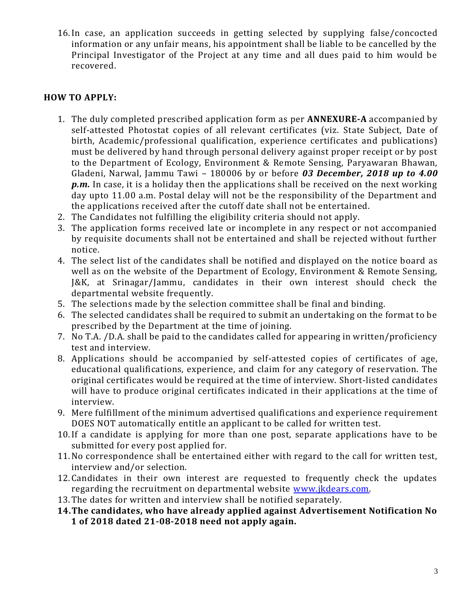16.In case, an application succeeds in getting selected by supplying false/concocted information or any unfair means, his appointment shall be liable to be cancelled by the Principal Investigator of the Project at any time and all dues paid to him would be recovered.

# **HOW TO APPLY:**

- 1. The duly completed prescribed application form as per **ANNEXURE-A** accompanied by self-attested Photostat copies of all relevant certificates (viz. State Subject, Date of birth, Academic/professional qualification, experience certificates and publications) must be delivered by hand through personal delivery against proper receipt or by post to the Department of Ecology, Environment & Remote Sensing, Paryawaran Bhawan, Gladeni, Narwal, Jammu Tawi – 180006 by or before *03 December, 2018 up to 4.00 p.m.* In case, it is a holiday then the applications shall be received on the next working day upto 11.00 a.m. Postal delay will not be the responsibility of the Department and the applications received after the cutoff date shall not be entertained.
- 2. The Candidates not fulfilling the eligibility criteria should not apply.
- 3. The application forms received late or incomplete in any respect or not accompanied by requisite documents shall not be entertained and shall be rejected without further notice.
- 4. The select list of the candidates shall be notified and displayed on the notice board as well as on the website of the Department of Ecology, Environment & Remote Sensing, J&K, at Srinagar/Jammu, candidates in their own interest should check the departmental website frequently.
- 5. The selections made by the selection committee shall be final and binding.
- 6. The selected candidates shall be required to submit an undertaking on the format to be prescribed by the Department at the time of joining.
- 7. No T.A. /D.A. shall be paid to the candidates called for appearing in written/proficiency test and interview.
- 8. Applications should be accompanied by self-attested copies of certificates of age, educational qualifications, experience, and claim for any category of reservation. The original certificates would be required at the time of interview. Short-listed candidates will have to produce original certificates indicated in their applications at the time of interview.
- 9. Mere fulfillment of the minimum advertised qualifications and experience requirement DOES NOT automatically entitle an applicant to be called for written test.
- 10.If a candidate is applying for more than one post, separate applications have to be submitted for every post applied for.
- 11.No correspondence shall be entertained either with regard to the call for written test, interview and/or selection.
- 12.Candidates in their own interest are requested to frequently check the updates regarding the recruitment on departmental website www.jkdears.com.
- 13.The dates for written and interview shall be notified separately.
- **14.The candidates, who have already applied against Advertisement Notification No 1 of 2018 dated 21-08-2018 need not apply again.**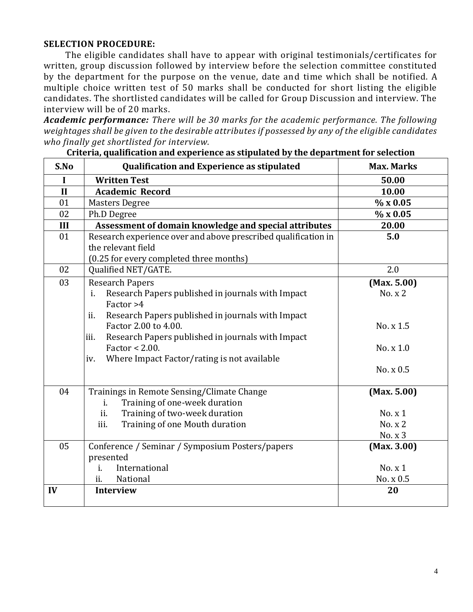## **SELECTION PROCEDURE:**

The eligible candidates shall have to appear with original testimonials/certificates for written, group discussion followed by interview before the selection committee constituted by the department for the purpose on the venue, date and time which shall be notified. A multiple choice written test of 50 marks shall be conducted for short listing the eligible candidates. The shortlisted candidates will be called for Group Discussion and interview. The interview will be of 20 marks.

*Academic performance: There will be 30 marks for the academic performance. The following weightages shall be given to the desirable attributes if possessed by any of the eligible candidates who finally get shortlisted for interview.*

| S.No         | <b>Qualification and Experience as stipulated</b>                                                                                                                                                                                                                                                                          | <b>Max. Marks</b>                                             |
|--------------|----------------------------------------------------------------------------------------------------------------------------------------------------------------------------------------------------------------------------------------------------------------------------------------------------------------------------|---------------------------------------------------------------|
| $\mathbf I$  | <b>Written Test</b>                                                                                                                                                                                                                                                                                                        | 50.00                                                         |
| $\mathbf{I}$ | <b>Academic Record</b>                                                                                                                                                                                                                                                                                                     | 10.00                                                         |
| 01           | <b>Masters Degree</b>                                                                                                                                                                                                                                                                                                      | % x0.05                                                       |
| 02           | Ph.D Degree                                                                                                                                                                                                                                                                                                                | % x0.05                                                       |
| III          | Assessment of domain knowledge and special attributes                                                                                                                                                                                                                                                                      | 20.00                                                         |
| 01           | Research experience over and above prescribed qualification in<br>the relevant field<br>(0.25 for every completed three months)                                                                                                                                                                                            | 5.0                                                           |
| 02           | Qualified NET/GATE.                                                                                                                                                                                                                                                                                                        | 2.0                                                           |
| 03           | <b>Research Papers</b><br>Research Papers published in journals with Impact<br>i.<br>Factor >4<br>Research Papers published in journals with Impact<br>ii.<br>Factor 2.00 to 4.00.<br>Research Papers published in journals with Impact<br>iii.<br>Factor $< 2.00$ .<br>Where Impact Factor/rating is not available<br>iv. | (Max. 5.00)<br>No. x 2<br>No. x 1.5<br>No. x 1.0<br>No. x 0.5 |
| 04           | Trainings in Remote Sensing/Climate Change<br>Training of one-week duration<br>$i$ .<br>ii.<br>Training of two-week duration<br>iii.<br>Training of one Mouth duration                                                                                                                                                     | (Max. 5.00)<br>No. x 1<br>No. x 2<br>No. x 3                  |
| 05           | Conference / Seminar / Symposium Posters/papers<br>presented<br>International<br>i.<br>National<br>ii.                                                                                                                                                                                                                     | (Max. 3.00)<br>No. x 1<br>No. x 0.5                           |
| IV           | <b>Interview</b>                                                                                                                                                                                                                                                                                                           | 20                                                            |

**Criteria, qualification and experience as stipulated by the department for selection**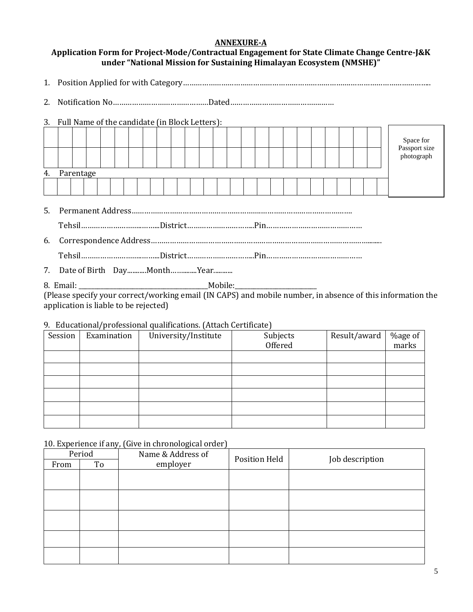### **ANNEXURE-A**

## **Application Form for Project-Mode/Contractual Engagement for State Climate Change Centre-J&K under "National Mission for Sustaining Himalayan Ecosystem (NMSHE)"**

1. Position Applied for with Category…………………………………………………………………….………………………………..

2. Notification No………………………………………Dated…………………………………….……

3. Full Name of the candidate (in Block Letters):

|  |              |  |  |  |  |  |  |  |  |  |  | Space for<br>Passport size<br>photograph |
|--|--------------|--|--|--|--|--|--|--|--|--|--|------------------------------------------|
|  | 4. Parentage |  |  |  |  |  |  |  |  |  |  |                                          |
|  |              |  |  |  |  |  |  |  |  |  |  |                                          |
|  |              |  |  |  |  |  |  |  |  |  |  |                                          |

5. Permanent Address…………………………………………………….…………………………………….

Tehsil………………………..……...District…………………………..Pin………………………………………

6. Correspondence Address…………………………………………………………………………………………........

Tehsil………………………..……...District…………………………..Pin………………………………………

7. Date of Birth Day...........Month..............Year...........

8. Email: \_\_\_\_\_\_\_\_\_\_\_\_\_\_\_\_\_\_\_\_\_\_\_\_\_\_\_\_\_\_\_\_\_\_\_\_\_\_\_\_\_Mobile:\_\_\_\_\_\_\_\_\_\_\_\_\_\_\_\_\_\_\_\_\_\_\_\_\_\_

(Please specify your correct/working email (IN CAPS) and mobile number, in absence of this information the application is liable to be rejected)

#### 9. Educational/professional qualifications. (Attach Certificate)

| Session | Examination | University/Institute | Subjects<br>Offered | Result/award | %age of<br>marks |
|---------|-------------|----------------------|---------------------|--------------|------------------|
|         |             |                      |                     |              |                  |
|         |             |                      |                     |              |                  |
|         |             |                      |                     |              |                  |
|         |             |                      |                     |              |                  |
|         |             |                      |                     |              |                  |
|         |             |                      |                     |              |                  |

### 10. Experience if any, (Give in chronological order)

| Period |    | Name & Address of | Position Held | Job description |  |  |  |
|--------|----|-------------------|---------------|-----------------|--|--|--|
| From   | To | employer          |               |                 |  |  |  |
|        |    |                   |               |                 |  |  |  |
|        |    |                   |               |                 |  |  |  |
|        |    |                   |               |                 |  |  |  |
|        |    |                   |               |                 |  |  |  |
|        |    |                   |               |                 |  |  |  |
|        |    |                   |               |                 |  |  |  |
|        |    |                   |               |                 |  |  |  |
|        |    |                   |               |                 |  |  |  |
|        |    |                   |               |                 |  |  |  |
|        |    |                   |               |                 |  |  |  |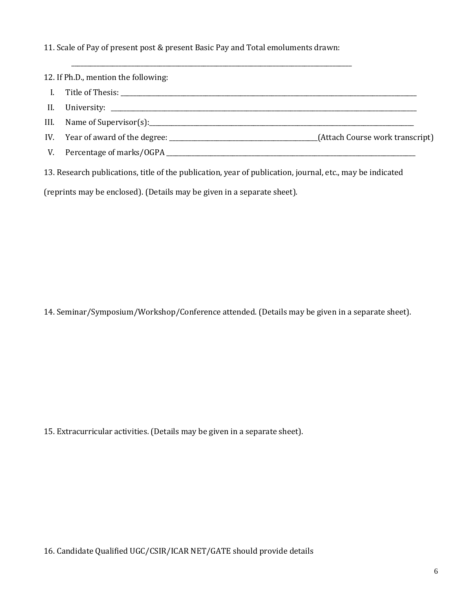11. Scale of Pay of present post & present Basic Pay and Total emoluments drawn:

\_\_\_\_\_\_\_\_\_\_\_\_\_\_\_\_\_\_\_\_\_\_\_\_\_\_\_\_\_\_\_\_\_\_\_\_\_\_\_\_\_\_\_\_\_\_\_\_\_\_\_\_\_\_\_\_\_\_\_\_\_\_\_\_\_\_\_\_\_\_\_\_\_\_\_\_\_\_\_\_\_\_\_\_\_\_\_\_\_

12. If Ph.D., mention the following:

- I. Title of Thesis: \_\_\_\_\_\_\_\_\_\_\_\_\_\_\_\_\_\_\_\_\_\_\_\_\_\_\_\_\_\_\_\_\_\_\_\_\_\_\_\_\_\_\_\_\_\_\_\_\_\_\_\_\_\_\_\_\_\_\_\_\_\_\_\_\_\_\_\_\_\_\_\_\_\_\_\_\_\_\_\_\_\_\_\_\_\_\_\_\_\_\_\_\_\_
- II. University:

III. Name of Supervisor(s):\_\_\_\_\_\_\_\_\_\_\_\_\_\_\_\_\_\_\_\_\_\_\_\_\_\_\_\_\_\_\_\_\_\_\_\_\_\_\_\_\_\_\_\_\_\_\_\_\_\_\_\_\_\_\_\_\_\_\_\_\_\_\_\_\_\_\_\_\_\_\_\_\_\_\_\_\_\_\_\_\_\_\_\_

- IV. Year of award of the degree: \_\_\_\_\_\_\_\_\_\_\_\_\_\_\_\_\_\_\_\_\_\_\_\_\_\_\_\_\_\_\_\_\_\_\_\_\_\_\_\_\_\_\_\_\_\_\_(Attach Course work transcript)
- V. Percentage of marks/OGPA \_\_\_\_\_\_\_\_\_\_\_\_\_\_\_\_\_\_\_\_\_\_\_\_\_\_\_\_\_\_\_\_\_\_\_\_\_\_\_\_\_\_\_\_\_\_\_\_\_\_\_\_\_\_\_\_\_\_\_\_\_\_\_\_\_\_\_\_\_\_\_\_\_\_\_\_\_\_\_

13. Research publications, title of the publication, year of publication, journal, etc., may be indicated

(reprints may be enclosed). (Details may be given in a separate sheet).

14. Seminar/Symposium/Workshop/Conference attended. (Details may be given in a separate sheet).

15. Extracurricular activities. (Details may be given in a separate sheet).

16. Candidate Qualified UGC/CSIR/ICAR NET/GATE should provide details